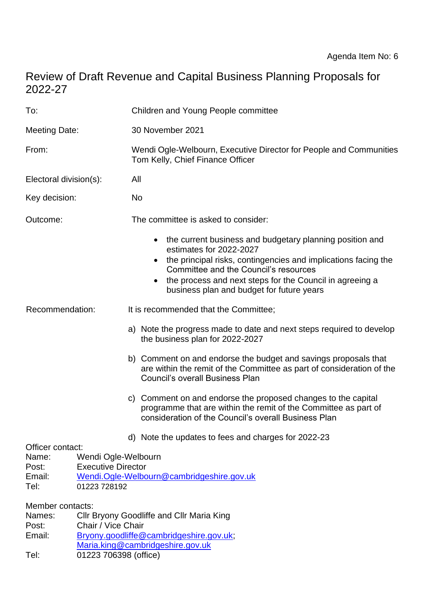# Review of Draft Revenue and Capital Business Planning Proposals for 2022-27

| To:                                                  |                                                                  | Children and Young People committee                                                                                                                                                                                                                                                                                               |
|------------------------------------------------------|------------------------------------------------------------------|-----------------------------------------------------------------------------------------------------------------------------------------------------------------------------------------------------------------------------------------------------------------------------------------------------------------------------------|
| <b>Meeting Date:</b>                                 |                                                                  | 30 November 2021                                                                                                                                                                                                                                                                                                                  |
| From:                                                |                                                                  | Wendi Ogle-Welbourn, Executive Director for People and Communities<br>Tom Kelly, Chief Finance Officer                                                                                                                                                                                                                            |
| Electoral division(s):                               |                                                                  | All                                                                                                                                                                                                                                                                                                                               |
| Key decision:                                        |                                                                  | No                                                                                                                                                                                                                                                                                                                                |
| Outcome:                                             |                                                                  | The committee is asked to consider:                                                                                                                                                                                                                                                                                               |
|                                                      |                                                                  | the current business and budgetary planning position and<br>estimates for 2022-2027<br>the principal risks, contingencies and implications facing the<br>$\bullet$<br>Committee and the Council's resources<br>the process and next steps for the Council in agreeing a<br>$\bullet$<br>business plan and budget for future years |
| Recommendation:                                      |                                                                  | It is recommended that the Committee;                                                                                                                                                                                                                                                                                             |
|                                                      |                                                                  | a) Note the progress made to date and next steps required to develop<br>the business plan for 2022-2027                                                                                                                                                                                                                           |
|                                                      |                                                                  | b) Comment on and endorse the budget and savings proposals that<br>are within the remit of the Committee as part of consideration of the<br><b>Council's overall Business Plan</b>                                                                                                                                                |
|                                                      |                                                                  | c) Comment on and endorse the proposed changes to the capital<br>programme that are within the remit of the Committee as part of<br>consideration of the Council's overall Business Plan                                                                                                                                          |
|                                                      |                                                                  | d) Note the updates to fees and charges for 2022-23                                                                                                                                                                                                                                                                               |
| Officer contact:<br>Name:<br>Post:<br>Email:<br>Tel: | Wendi Ogle-Welbourn<br><b>Executive Director</b><br>01223 728192 | Wendi.Ogle-Welbourn@cambridgeshire.gov.uk                                                                                                                                                                                                                                                                                         |
| Member contacts:<br>Names:<br>Post:<br>Email:        | Chair / Vice Chair                                               | Cllr Bryony Goodliffe and Cllr Maria King<br>Bryony.goodliffe@cambridgeshire.gov.uk;                                                                                                                                                                                                                                              |

- [Maria.king@cambridgeshire.gov.uk](mailto:Maria.king@cambridgeshire.gov.uk)
- Tel: 01223 706398 (office)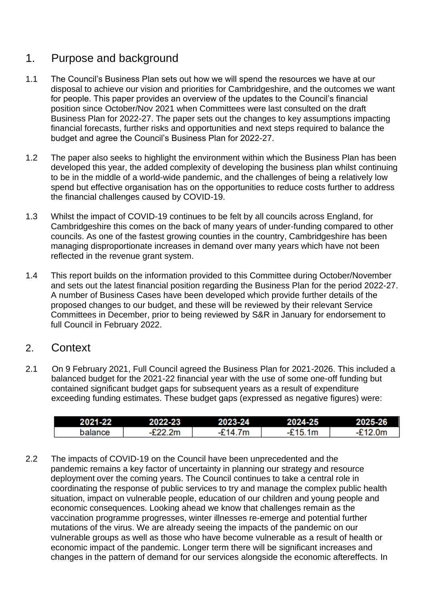## 1. Purpose and background

- 1.1 The Council's Business Plan sets out how we will spend the resources we have at our disposal to achieve our vision and priorities for Cambridgeshire, and the outcomes we want for people. This paper provides an overview of the updates to the Council's financial position since October/Nov 2021 when Committees were last consulted on the draft Business Plan for 2022-27. The paper sets out the changes to key assumptions impacting financial forecasts, further risks and opportunities and next steps required to balance the budget and agree the Council's Business Plan for 2022-27.
- 1.2 The paper also seeks to highlight the environment within which the Business Plan has been developed this year, the added complexity of developing the business plan whilst continuing to be in the middle of a world-wide pandemic, and the challenges of being a relatively low spend but effective organisation has on the opportunities to reduce costs further to address the financial challenges caused by COVID-19.
- 1.3 Whilst the impact of COVID-19 continues to be felt by all councils across England, for Cambridgeshire this comes on the back of many years of under-funding compared to other councils. As one of the fastest growing counties in the country, Cambridgeshire has been managing disproportionate increases in demand over many years which have not been reflected in the revenue grant system.
- 1.4 This report builds on the information provided to this Committee during October/November and sets out the latest financial position regarding the Business Plan for the period 2022-27. A number of Business Cases have been developed which provide further details of the proposed changes to our budget, and these will be reviewed by their relevant Service Committees in December, prior to being reviewed by S&R in January for endorsement to full Council in February 2022.

## 2. Context

2.1 On 9 February 2021, Full Council agreed the Business Plan for 2021-2026. This included a balanced budget for the 2021-22 financial year with the use of some one-off funding but contained significant budget gaps for subsequent years as a result of expenditure exceeding funding estimates. These budget gaps (expressed as negative figures) were:

| 2021-22 | 2022-23   | 2023-24 | 2024-25          | 2025-26 |
|---------|-----------|---------|------------------|---------|
| palance | $-E22.2m$ | -£14.7m | $^{\circ}$ 15.1m | £12.0m  |

2.2 The impacts of COVID-19 on the Council have been unprecedented and the pandemic remains a key factor of uncertainty in planning our strategy and resource deployment over the coming years. The Council continues to take a central role in coordinating the response of public services to try and manage the complex public health situation, impact on vulnerable people, education of our children and young people and economic consequences. Looking ahead we know that challenges remain as the vaccination programme progresses, winter illnesses re-emerge and potential further mutations of the virus. We are already seeing the impacts of the pandemic on our vulnerable groups as well as those who have become vulnerable as a result of health or economic impact of the pandemic. Longer term there will be significant increases and changes in the pattern of demand for our services alongside the economic aftereffects. In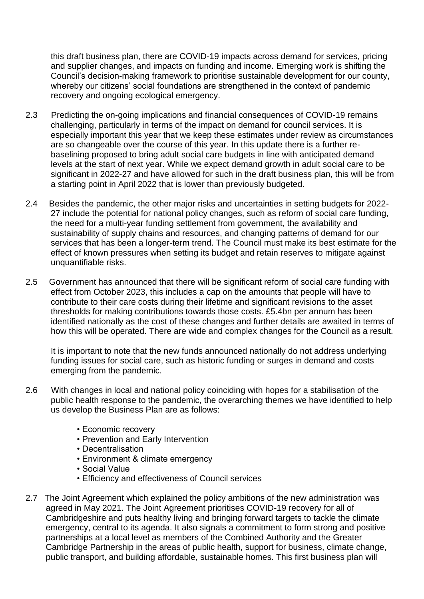this draft business plan, there are COVID-19 impacts across demand for services, pricing and supplier changes, and impacts on funding and income. Emerging work is shifting the Council's decision-making framework to prioritise sustainable development for our county, whereby our citizens' social foundations are strengthened in the context of pandemic recovery and ongoing ecological emergency.

- 2.3 Predicting the on-going implications and financial consequences of COVID-19 remains challenging, particularly in terms of the impact on demand for council services. It is especially important this year that we keep these estimates under review as circumstances are so changeable over the course of this year. In this update there is a further rebaselining proposed to bring adult social care budgets in line with anticipated demand levels at the start of next year. While we expect demand growth in adult social care to be significant in 2022-27 and have allowed for such in the draft business plan, this will be from a starting point in April 2022 that is lower than previously budgeted.
- 2.4 Besides the pandemic, the other major risks and uncertainties in setting budgets for 2022- 27 include the potential for national policy changes, such as reform of social care funding, the need for a multi-year funding settlement from government, the availability and sustainability of supply chains and resources, and changing patterns of demand for our services that has been a longer-term trend. The Council must make its best estimate for the effect of known pressures when setting its budget and retain reserves to mitigate against unquantifiable risks.
- 2.5 Government has announced that there will be significant reform of social care funding with effect from October 2023, this includes a cap on the amounts that people will have to contribute to their care costs during their lifetime and significant revisions to the asset thresholds for making contributions towards those costs. £5.4bn per annum has been identified nationally as the cost of these changes and further details are awaited in terms of how this will be operated. There are wide and complex changes for the Council as a result.

It is important to note that the new funds announced nationally do not address underlying funding issues for social care, such as historic funding or surges in demand and costs emerging from the pandemic.

- 2.6 With changes in local and national policy coinciding with hopes for a stabilisation of the public health response to the pandemic, the overarching themes we have identified to help us develop the Business Plan are as follows:
	- Economic recovery
	- Prevention and Early Intervention
	- Decentralisation
	- Environment & climate emergency
	- Social Value
	- Efficiency and effectiveness of Council services
- 2.7 The Joint Agreement which explained the policy ambitions of the new administration was agreed in May 2021. The Joint Agreement prioritises COVID-19 recovery for all of Cambridgeshire and puts healthy living and bringing forward targets to tackle the climate emergency, central to its agenda. It also signals a commitment to form strong and positive partnerships at a local level as members of the Combined Authority and the Greater Cambridge Partnership in the areas of public health, support for business, climate change, public transport, and building affordable, sustainable homes. This first business plan will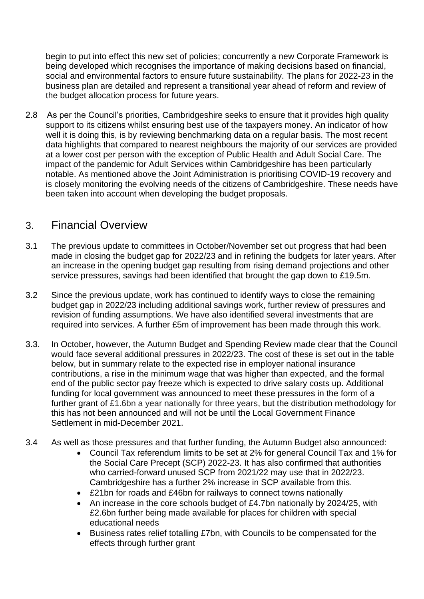begin to put into effect this new set of policies; concurrently a new Corporate Framework is being developed which recognises the importance of making decisions based on financial, social and environmental factors to ensure future sustainability. The plans for 2022-23 in the business plan are detailed and represent a transitional year ahead of reform and review of the budget allocation process for future years.

2.8 As per the Council's priorities, Cambridgeshire seeks to ensure that it provides high quality support to its citizens whilst ensuring best use of the taxpayers money. An indicator of how well it is doing this, is by reviewing benchmarking data on a regular basis. The most recent data highlights that compared to nearest neighbours the majority of our services are provided at a lower cost per person with the exception of Public Health and Adult Social Care. The impact of the pandemic for Adult Services within Cambridgeshire has been particularly notable. As mentioned above the Joint Administration is prioritising COVID-19 recovery and is closely monitoring the evolving needs of the citizens of Cambridgeshire. These needs have been taken into account when developing the budget proposals.

## 3. Financial Overview

- 3.1 The previous update to committees in October/November set out progress that had been made in closing the budget gap for 2022/23 and in refining the budgets for later years. After an increase in the opening budget gap resulting from rising demand projections and other service pressures, savings had been identified that brought the gap down to £19.5m.
- 3.2 Since the previous update, work has continued to identify ways to close the remaining budget gap in 2022/23 including additional savings work, further review of pressures and revision of funding assumptions. We have also identified several investments that are required into services. A further £5m of improvement has been made through this work.
- 3.3. In October, however, the Autumn Budget and Spending Review made clear that the Council would face several additional pressures in 2022/23. The cost of these is set out in the table below, but in summary relate to the expected rise in employer national insurance contributions, a rise in the minimum wage that was higher than expected, and the formal end of the public sector pay freeze which is expected to drive salary costs up. Additional funding for local government was announced to meet these pressures in the form of a further grant of £1.6bn a year nationally for three years, but the distribution methodology for this has not been announced and will not be until the Local Government Finance Settlement in mid-December 2021.
- 3.4 As well as those pressures and that further funding, the Autumn Budget also announced:
	- Council Tax referendum limits to be set at 2% for general Council Tax and 1% for the Social Care Precept (SCP) 2022-23. It has also confirmed that authorities who carried-forward unused SCP from 2021/22 may use that in 2022/23. Cambridgeshire has a further 2% increase in SCP available from this.
	- £21bn for roads and £46bn for railways to connect towns nationally
	- An increase in the core schools budget of £4.7bn nationally by 2024/25, with £2.6bn further being made available for places for children with special educational needs
	- Business rates relief totalling £7bn, with Councils to be compensated for the effects through further grant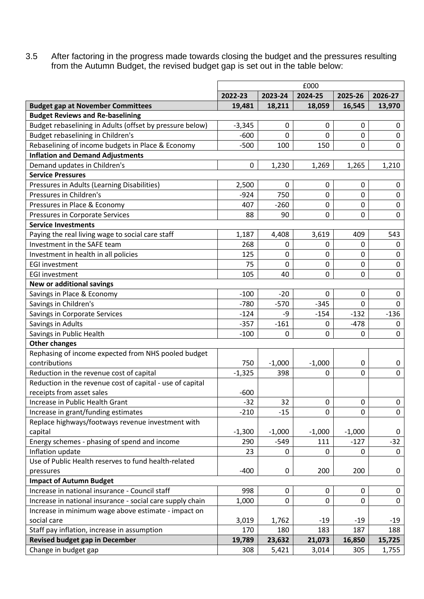3.5 After factoring in the progress made towards closing the budget and the pressures resulting from the Autumn Budget, the revised budget gap is set out in the table below:

|                                                           |          |              | £000     |             |              |
|-----------------------------------------------------------|----------|--------------|----------|-------------|--------------|
|                                                           | 2022-23  | 2023-24      | 2024-25  | 2025-26     | 2026-27      |
| <b>Budget gap at November Committees</b>                  | 19,481   | 18,211       | 18,059   | 16,545      | 13,970       |
| <b>Budget Reviews and Re-baselining</b>                   |          |              |          |             |              |
| Budget rebaselining in Adults (offset by pressure below)  | $-3,345$ | 0            | 0        | 0           | 0            |
| Budget rebaselining in Children's                         | $-600$   | 0            | 0        | $\mathbf 0$ | $\mathbf 0$  |
| Rebaselining of income budgets in Place & Economy         | $-500$   | 100          | 150      | 0           | $\mathbf 0$  |
| <b>Inflation and Demand Adjustments</b>                   |          |              |          |             |              |
| Demand updates in Children's                              | 0        | 1,230        | 1,269    | 1,265       | 1,210        |
| <b>Service Pressures</b>                                  |          |              |          |             |              |
| Pressures in Adults (Learning Disabilities)               | 2,500    | 0            | 0        | 0           | 0            |
| Pressures in Children's                                   | $-924$   | 750          | 0        | 0           | $\mathbf 0$  |
| Pressures in Place & Economy                              | 407      | $-260$       | 0        | 0           | $\mathbf 0$  |
| Pressures in Corporate Services                           | 88       | 90           | 0        | 0           | 0            |
| <b>Service Investments</b>                                |          |              |          |             |              |
| Paying the real living wage to social care staff          | 1,187    | 4,408        | 3,619    | 409         | 543          |
| Investment in the SAFE team                               | 268      | $\mathbf{0}$ | 0        | 0           | 0            |
| Investment in health in all policies                      | 125      | 0            | 0        | 0           | $\mathbf 0$  |
| <b>EGI investment</b>                                     | 75       | 0            | 0        | 0           | 0            |
| <b>EGI investment</b>                                     | 105      | 40           | 0        | 0           | $\mathbf 0$  |
| New or additional savings                                 |          |              |          |             |              |
| Savings in Place & Economy                                | $-100$   | $-20$        | 0        | 0           | 0            |
| Savings in Children's                                     | $-780$   | $-570$       | $-345$   | 0           | 0            |
| Savings in Corporate Services                             | $-124$   | -9           | $-154$   | $-132$      | $-136$       |
| Savings in Adults                                         | $-357$   | $-161$       | 0        | $-478$      | 0            |
| Savings in Public Health                                  | $-100$   | 0            | 0        | 0           | 0            |
| <b>Other changes</b>                                      |          |              |          |             |              |
| Rephasing of income expected from NHS pooled budget       |          |              |          |             |              |
| contributions                                             | 750      | $-1,000$     | $-1,000$ | $\mathbf 0$ | 0            |
| Reduction in the revenue cost of capital                  | $-1,325$ | 398          | 0        | 0           | 0            |
| Reduction in the revenue cost of capital - use of capital |          |              |          |             |              |
| receipts from asset sales                                 | $-600$   |              |          |             |              |
| Increase in Public Health Grant                           | $-32$    | 32           | 0        | 0           | 0            |
| Increase in grant/funding estimates                       | $-210$   | $-15$        | 0        | 0           | $\mathsf{O}$ |
| Replace highways/footways revenue investment with         |          |              |          |             |              |
| capital                                                   | $-1,300$ | $-1,000$     | $-1,000$ | $-1,000$    | 0            |
| Energy schemes - phasing of spend and income              | 290      | $-549$       | 111      | $-127$      | $-32$        |
| Inflation update                                          | 23       | 0            | 0        | 0           | 0            |
| Use of Public Health reserves to fund health-related      |          |              |          |             |              |
| pressures                                                 | $-400$   | $\mathbf 0$  | 200      | 200         | 0            |
| <b>Impact of Autumn Budget</b>                            |          |              |          |             |              |
| Increase in national insurance - Council staff            | 998      | 0            | 0        | 0           | 0            |
| Increase in national insurance - social care supply chain | 1,000    | 0            | 0        | 0           | $\mathbf 0$  |
| Increase in minimum wage above estimate - impact on       |          |              |          |             |              |
| social care                                               | 3,019    | 1,762        | -19      | -19         | -19          |
| Staff pay inflation, increase in assumption               | 170      | 180          | 183      | 187         | 188          |
| <b>Revised budget gap in December</b>                     | 19,789   | 23,632       | 21,073   | 16,850      | 15,725       |
| Change in budget gap                                      | 308      | 5,421        | 3,014    | 305         | 1,755        |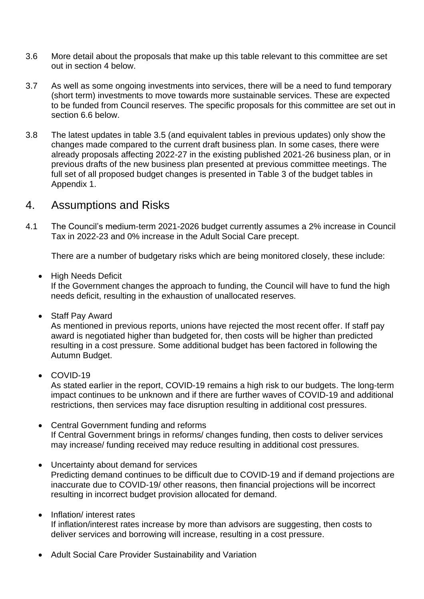- 3.6 More detail about the proposals that make up this table relevant to this committee are set out in section 4 below.
- 3.7 As well as some ongoing investments into services, there will be a need to fund temporary (short term) investments to move towards more sustainable services. These are expected to be funded from Council reserves. The specific proposals for this committee are set out in section 6.6 below.
- 3.8 The latest updates in table 3.5 (and equivalent tables in previous updates) only show the changes made compared to the current draft business plan. In some cases, there were already proposals affecting 2022-27 in the existing published 2021-26 business plan, or in previous drafts of the new business plan presented at previous committee meetings. The full set of all proposed budget changes is presented in Table 3 of the budget tables in Appendix 1.

#### 4. Assumptions and Risks

4.1 The Council's medium-term 2021-2026 budget currently assumes a 2% increase in Council Tax in 2022-23 and 0% increase in the Adult Social Care precept.

There are a number of budgetary risks which are being monitored closely, these include:

• High Needs Deficit

If the Government changes the approach to funding, the Council will have to fund the high needs deficit, resulting in the exhaustion of unallocated reserves.

• Staff Pay Award

As mentioned in previous reports, unions have rejected the most recent offer. If staff pay award is negotiated higher than budgeted for, then costs will be higher than predicted resulting in a cost pressure. Some additional budget has been factored in following the Autumn Budget.

• COVID-19

As stated earlier in the report, COVID-19 remains a high risk to our budgets. The long-term impact continues to be unknown and if there are further waves of COVID-19 and additional restrictions, then services may face disruption resulting in additional cost pressures.

- Central Government funding and reforms If Central Government brings in reforms/ changes funding, then costs to deliver services may increase/ funding received may reduce resulting in additional cost pressures.
- Uncertainty about demand for services Predicting demand continues to be difficult due to COVID-19 and if demand projections are inaccurate due to COVID-19/ other reasons, then financial projections will be incorrect resulting in incorrect budget provision allocated for demand.
- Inflation/ interest rates If inflation/interest rates increase by more than advisors are suggesting, then costs to deliver services and borrowing will increase, resulting in a cost pressure.
- Adult Social Care Provider Sustainability and Variation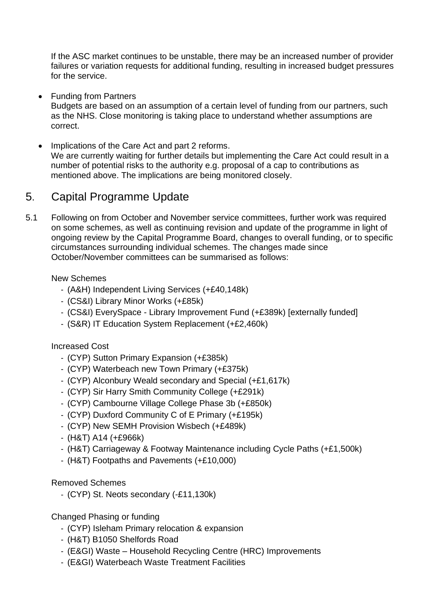If the ASC market continues to be unstable, there may be an increased number of provider failures or variation requests for additional funding, resulting in increased budget pressures for the service.

• Funding from Partners

Budgets are based on an assumption of a certain level of funding from our partners, such as the NHS. Close monitoring is taking place to understand whether assumptions are correct.

• Implications of the Care Act and part 2 reforms. We are currently waiting for further details but implementing the Care Act could result in a number of potential risks to the authority e.g. proposal of a cap to contributions as mentioned above. The implications are being monitored closely.

## 5. Capital Programme Update

5.1 Following on from October and November service committees, further work was required on some schemes, as well as continuing revision and update of the programme in light of ongoing review by the Capital Programme Board, changes to overall funding, or to specific circumstances surrounding individual schemes. The changes made since October/November committees can be summarised as follows:

New Schemes

- (A&H) Independent Living Services (+£40,148k)
- (CS&I) Library Minor Works (+£85k)
- (CS&I) EverySpace Library Improvement Fund (+£389k) [externally funded]
- (S&R) IT Education System Replacement (+£2,460k)

Increased Cost

- (CYP) Sutton Primary Expansion (+£385k)
- (CYP) Waterbeach new Town Primary (+£375k)
- (CYP) Alconbury Weald secondary and Special (+£1,617k)
- (CYP) Sir Harry Smith Community College (+£291k)
- (CYP) Cambourne Village College Phase 3b (+£850k)
- (CYP) Duxford Community C of E Primary (+£195k)
- (CYP) New SEMH Provision Wisbech (+£489k)
- (H&T) A14 (+£966k)
- (H&T) Carriageway & Footway Maintenance including Cycle Paths (+£1,500k)
- (H&T) Footpaths and Pavements (+£10,000)

#### Removed Schemes

- (CYP) St. Neots secondary (-£11,130k)

Changed Phasing or funding

- (CYP) Isleham Primary relocation & expansion
- (H&T) B1050 Shelfords Road
- (E&GI) Waste Household Recycling Centre (HRC) Improvements
- (E&GI) Waterbeach Waste Treatment Facilities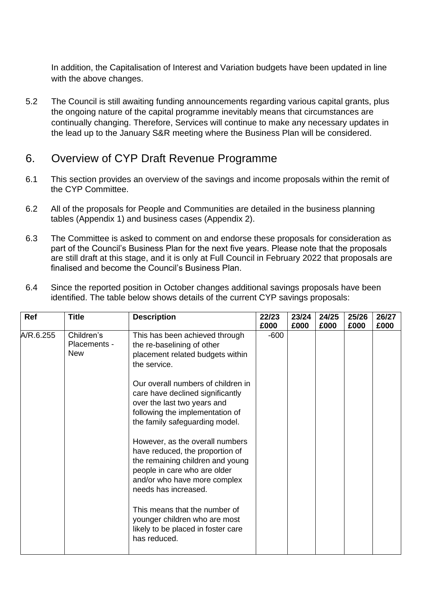In addition, the Capitalisation of Interest and Variation budgets have been updated in line with the above changes.

5.2 The Council is still awaiting funding announcements regarding various capital grants, plus the ongoing nature of the capital programme inevitably means that circumstances are continually changing. Therefore, Services will continue to make any necessary updates in the lead up to the January S&R meeting where the Business Plan will be considered.

## 6. Overview of CYP Draft Revenue Programme

- 6.1 This section provides an overview of the savings and income proposals within the remit of the CYP Committee.
- 6.2 All of the proposals for People and Communities are detailed in the business planning tables (Appendix 1) and business cases (Appendix 2).
- 6.3 The Committee is asked to comment on and endorse these proposals for consideration as part of the Council's Business Plan for the next five years. Please note that the proposals are still draft at this stage, and it is only at Full Council in February 2022 that proposals are finalised and become the Council's Business Plan.

| Ref       | <b>Title</b>                             | <b>Description</b>                                                                                                                                                                             | 22/23<br>£000 | 23/24<br>£000 | 24/25<br>£000 | 25/26<br>£000 | 26/27<br>£000 |
|-----------|------------------------------------------|------------------------------------------------------------------------------------------------------------------------------------------------------------------------------------------------|---------------|---------------|---------------|---------------|---------------|
| A/R.6.255 | Children's<br>Placements -<br><b>New</b> | This has been achieved through<br>the re-baselining of other<br>placement related budgets within<br>the service.                                                                               | $-600$        |               |               |               |               |
|           |                                          | Our overall numbers of children in<br>care have declined significantly<br>over the last two years and<br>following the implementation of<br>the family safeguarding model.                     |               |               |               |               |               |
|           |                                          | However, as the overall numbers<br>have reduced, the proportion of<br>the remaining children and young<br>people in care who are older<br>and/or who have more complex<br>needs has increased. |               |               |               |               |               |
|           |                                          | This means that the number of<br>younger children who are most<br>likely to be placed in foster care<br>has reduced.                                                                           |               |               |               |               |               |

6.4 Since the reported position in October changes additional savings proposals have been identified. The table below shows details of the current CYP savings proposals: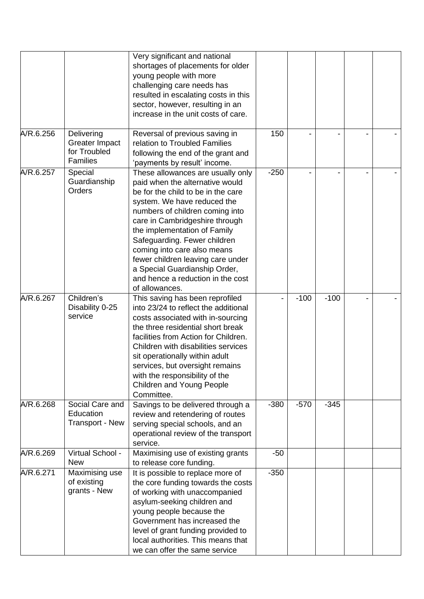|           |                                                                        | Very significant and national<br>shortages of placements for older<br>young people with more<br>challenging care needs has<br>resulted in escalating costs in this<br>sector, however, resulting in an<br>increase in the unit costs of care.                                                                                                                                                                                              |        |        |        |                |  |
|-----------|------------------------------------------------------------------------|--------------------------------------------------------------------------------------------------------------------------------------------------------------------------------------------------------------------------------------------------------------------------------------------------------------------------------------------------------------------------------------------------------------------------------------------|--------|--------|--------|----------------|--|
| A/R.6.256 | Delivering<br><b>Greater Impact</b><br>for Troubled<br><b>Families</b> | Reversal of previous saving in<br>relation to Troubled Families<br>following the end of the grant and<br>'payments by result' income.                                                                                                                                                                                                                                                                                                      | 150    |        |        | $\blacksquare$ |  |
| A/R.6.257 | Special<br>Guardianship<br>Orders                                      | These allowances are usually only<br>paid when the alternative would<br>be for the child to be in the care<br>system. We have reduced the<br>numbers of children coming into<br>care in Cambridgeshire through<br>the implementation of Family<br>Safeguarding. Fewer children<br>coming into care also means<br>fewer children leaving care under<br>a Special Guardianship Order,<br>and hence a reduction in the cost<br>of allowances. | $-250$ |        |        | $\blacksquare$ |  |
| A/R.6.267 | Children's<br>Disability 0-25<br>service                               | This saving has been reprofiled<br>into 23/24 to reflect the additional<br>costs associated with in-sourcing<br>the three residential short break<br>facilities from Action for Children.<br>Children with disabilities services<br>sit operationally within adult<br>services, but oversight remains<br>with the responsibility of the<br>Children and Young People<br>Committee.                                                         |        | $-100$ | $-100$ |                |  |
| A/R.6.268 | Social Care and<br>Education<br><b>Transport - New</b>                 | Savings to be delivered through a<br>review and retendering of routes<br>serving special schools, and an<br>operational review of the transport<br>service.                                                                                                                                                                                                                                                                                | $-380$ | $-570$ | $-345$ |                |  |
| A/R.6.269 | Virtual School -<br><b>New</b>                                         | Maximising use of existing grants<br>to release core funding.                                                                                                                                                                                                                                                                                                                                                                              | $-50$  |        |        |                |  |
| A/R.6.271 | Maximising use<br>of existing<br>grants - New                          | It is possible to replace more of<br>the core funding towards the costs<br>of working with unaccompanied<br>asylum-seeking children and<br>young people because the<br>Government has increased the<br>level of grant funding provided to<br>local authorities. This means that<br>we can offer the same service                                                                                                                           | $-350$ |        |        |                |  |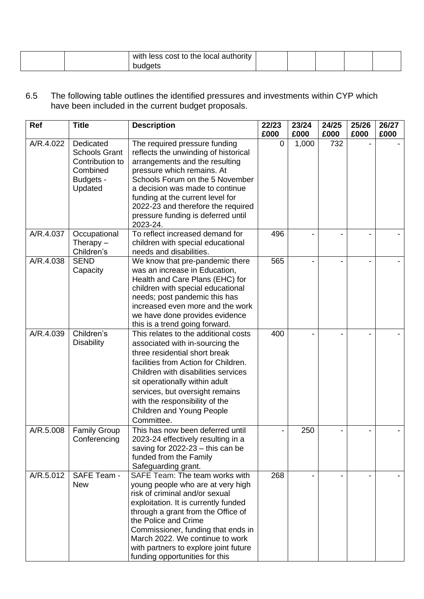|  | with less cost to the local authority |  |  |  |
|--|---------------------------------------|--|--|--|
|  | budgets                               |  |  |  |

6.5 The following table outlines the identified pressures and investments within CYP which have been included in the current budget proposals.

| Ref       | <b>Title</b>                                                                             | <b>Description</b>                                                                                                                                                                                                                                                                                                                                              | 22/23 | 23/24 | 24/25 | 25/26 | 26/27 |
|-----------|------------------------------------------------------------------------------------------|-----------------------------------------------------------------------------------------------------------------------------------------------------------------------------------------------------------------------------------------------------------------------------------------------------------------------------------------------------------------|-------|-------|-------|-------|-------|
|           |                                                                                          |                                                                                                                                                                                                                                                                                                                                                                 | £000  | £000  | £000  | £000  | £000  |
| A/R.4.022 | Dedicated<br><b>Schools Grant</b><br>Contribution to<br>Combined<br>Budgets -<br>Updated | The required pressure funding<br>reflects the unwinding of historical<br>arrangements and the resulting<br>pressure which remains. At<br>Schools Forum on the 5 November<br>a decision was made to continue<br>funding at the current level for<br>2022-23 and therefore the required<br>pressure funding is deferred until<br>2023-24.                         | 0     | 1,000 | 732   |       |       |
| A/R.4.037 | Occupational<br>Therapy $-$<br>Children's                                                | To reflect increased demand for<br>children with special educational<br>needs and disabilities.                                                                                                                                                                                                                                                                 | 496   |       |       |       |       |
| A/R.4.038 | <b>SEND</b><br>Capacity                                                                  | We know that pre-pandemic there<br>was an increase in Education,<br>Health and Care Plans (EHC) for<br>children with special educational<br>needs; post pandemic this has<br>increased even more and the work<br>we have done provides evidence<br>this is a trend going forward.                                                                               | 565   |       |       |       |       |
| A/R.4.039 | Children's<br><b>Disability</b>                                                          | This relates to the additional costs<br>associated with in-sourcing the<br>three residential short break<br>facilities from Action for Children.<br>Children with disabilities services<br>sit operationally within adult<br>services, but oversight remains<br>with the responsibility of the<br>Children and Young People<br>Committee.                       | 400   |       |       |       |       |
| A/R.5.008 | <b>Family Group</b><br>Conferencing                                                      | This has now been deferred until<br>2023-24 effectively resulting in a<br>saving for $2022-23$ – this can be<br>funded from the Family<br>Safeguarding grant.                                                                                                                                                                                                   |       | 250   |       |       |       |
| A/R.5.012 | SAFE Team -<br><b>New</b>                                                                | SAFE Team: The team works with<br>young people who are at very high<br>risk of criminal and/or sexual<br>exploitation. It is currently funded<br>through a grant from the Office of<br>the Police and Crime<br>Commissioner, funding that ends in<br>March 2022. We continue to work<br>with partners to explore joint future<br>funding opportunities for this | 268   |       |       |       |       |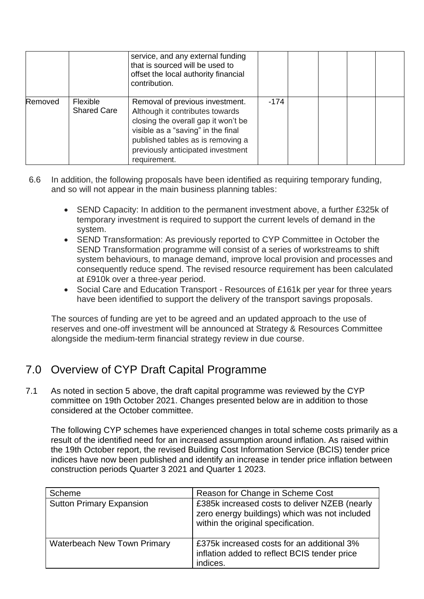|         |                                | service, and any external funding<br>that is sourced will be used to<br>offset the local authority financial<br>contribution.                                                                                                             |        |  |  |
|---------|--------------------------------|-------------------------------------------------------------------------------------------------------------------------------------------------------------------------------------------------------------------------------------------|--------|--|--|
| Removed | Flexible<br><b>Shared Care</b> | Removal of previous investment.<br>Although it contributes towards<br>closing the overall gap it won't be<br>visible as a "saving" in the final<br>published tables as is removing a<br>previously anticipated investment<br>requirement. | $-174$ |  |  |

- 6.6 In addition, the following proposals have been identified as requiring temporary funding, and so will not appear in the main business planning tables:
	- SEND Capacity: In addition to the permanent investment above, a further £325k of temporary investment is required to support the current levels of demand in the system.
	- SEND Transformation: As previously reported to CYP Committee in October the SEND Transformation programme will consist of a series of workstreams to shift system behaviours, to manage demand, improve local provision and processes and consequently reduce spend. The revised resource requirement has been calculated at £910k over a three-year period.
	- Social Care and Education Transport Resources of £161k per year for three years have been identified to support the delivery of the transport savings proposals.

The sources of funding are yet to be agreed and an updated approach to the use of reserves and one-off investment will be announced at Strategy & Resources Committee alongside the medium-term financial strategy review in due course.

# 7.0 Overview of CYP Draft Capital Programme

7.1 As noted in section 5 above, the draft capital programme was reviewed by the CYP committee on 19th October 2021. Changes presented below are in addition to those considered at the October committee.

The following CYP schemes have experienced changes in total scheme costs primarily as a result of the identified need for an increased assumption around inflation. As raised within the 19th October report, the revised Building Cost Information Service (BCIS) tender price indices have now been published and identify an increase in tender price inflation between construction periods Quarter 3 2021 and Quarter 1 2023.

| Scheme                             | Reason for Change in Scheme Cost                                                                                                     |
|------------------------------------|--------------------------------------------------------------------------------------------------------------------------------------|
| <b>Sutton Primary Expansion</b>    | £385k increased costs to deliver NZEB (nearly<br>zero energy buildings) which was not included<br>within the original specification. |
| <b>Waterbeach New Town Primary</b> | £375k increased costs for an additional 3%<br>inflation added to reflect BCIS tender price<br>indices.                               |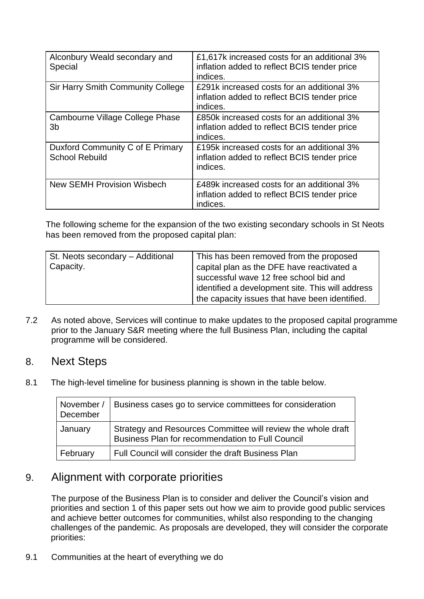| Alconbury Weald secondary and<br>Special                  | £1,617k increased costs for an additional 3%<br>inflation added to reflect BCIS tender price<br>indices. |
|-----------------------------------------------------------|----------------------------------------------------------------------------------------------------------|
| <b>Sir Harry Smith Community College</b>                  | £291k increased costs for an additional 3%<br>inflation added to reflect BCIS tender price<br>indices.   |
| Cambourne Village College Phase<br>3b                     | £850k increased costs for an additional 3%<br>inflation added to reflect BCIS tender price<br>indices.   |
| Duxford Community C of E Primary<br><b>School Rebuild</b> | £195k increased costs for an additional 3%<br>inflation added to reflect BCIS tender price<br>indices.   |
| <b>New SEMH Provision Wisbech</b>                         | £489k increased costs for an additional 3%<br>inflation added to reflect BCIS tender price<br>indices.   |

The following scheme for the expansion of the two existing secondary schools in St Neots has been removed from the proposed capital plan:

| St. Neots secondary - Additional<br>Capacity. | This has been removed from the proposed<br>capital plan as the DFE have reactivated a<br>successful wave 12 free school bid and<br>identified a development site. This will address<br>the capacity issues that have been identified. |
|-----------------------------------------------|---------------------------------------------------------------------------------------------------------------------------------------------------------------------------------------------------------------------------------------|
|-----------------------------------------------|---------------------------------------------------------------------------------------------------------------------------------------------------------------------------------------------------------------------------------------|

7.2 As noted above, Services will continue to make updates to the proposed capital programme prior to the January S&R meeting where the full Business Plan, including the capital programme will be considered.

#### 8. Next Steps

8.1 The high-level timeline for business planning is shown in the table below.

| November /<br>December | Business cases go to service committees for consideration                                                        |
|------------------------|------------------------------------------------------------------------------------------------------------------|
| January                | Strategy and Resources Committee will review the whole draft<br>Business Plan for recommendation to Full Council |
| February               | Full Council will consider the draft Business Plan                                                               |

## 9. Alignment with corporate priorities

The purpose of the Business Plan is to consider and deliver the Council's vision and priorities and section 1 of this paper sets out how we aim to provide good public services and achieve better outcomes for communities, whilst also responding to the changing challenges of the pandemic. As proposals are developed, they will consider the corporate priorities:

9.1 Communities at the heart of everything we do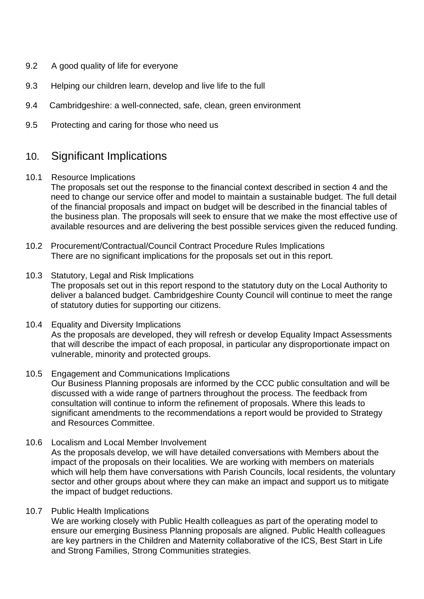- 9.2 A good quality of life for everyone
- 9.3 Helping our children learn, develop and live life to the full
- 9.4 Cambridgeshire: a well-connected, safe, clean, green environment
- 9.5 Protecting and caring for those who need us

## 10. Significant Implications

10.1 Resource Implications

The proposals set out the response to the financial context described in section 4 and the need to change our service offer and model to maintain a sustainable budget. The full detail of the financial proposals and impact on budget will be described in the financial tables of the business plan. The proposals will seek to ensure that we make the most effective use of available resources and are delivering the best possible services given the reduced funding.

- 10.2 Procurement/Contractual/Council Contract Procedure Rules Implications There are no significant implications for the proposals set out in this report.
- 10.3 Statutory, Legal and Risk Implications The proposals set out in this report respond to the statutory duty on the Local Authority to deliver a balanced budget. Cambridgeshire County Council will continue to meet the range of statutory duties for supporting our citizens.
- 10.4 Equality and Diversity Implications As the proposals are developed, they will refresh or develop Equality Impact Assessments that will describe the impact of each proposal, in particular any disproportionate impact on vulnerable, minority and protected groups.
- 10.5 Engagement and Communications Implications Our Business Planning proposals are informed by the CCC public consultation and will be discussed with a wide range of partners throughout the process. The feedback from consultation will continue to inform the refinement of proposals. Where this leads to significant amendments to the recommendations a report would be provided to Strategy and Resources Committee.
- 10.6 Localism and Local Member Involvement As the proposals develop, we will have detailed conversations with Members about the impact of the proposals on their localities. We are working with members on materials which will help them have conversations with Parish Councils, local residents, the voluntary sector and other groups about where they can make an impact and support us to mitigate the impact of budget reductions.
- 10.7 Public Health Implications

We are working closely with Public Health colleagues as part of the operating model to ensure our emerging Business Planning proposals are aligned. Public Health colleagues are key partners in the Children and Maternity collaborative of the ICS, Best Start in Life and Strong Families, Strong Communities strategies.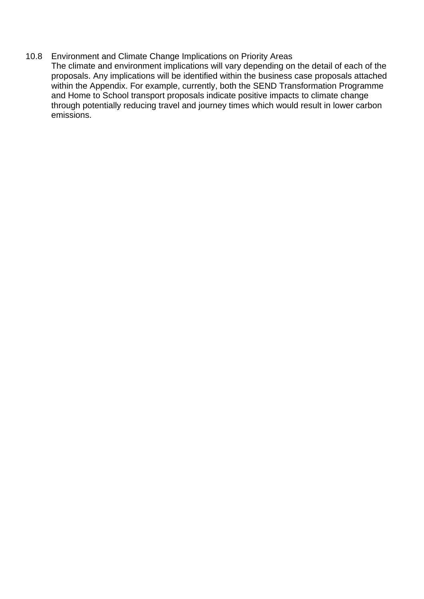#### 10.8 Environment and Climate Change Implications on Priority Areas

The climate and environment implications will vary depending on the detail of each of the proposals. Any implications will be identified within the business case proposals attached within the Appendix. For example, currently, both the SEND Transformation Programme and Home to School transport proposals indicate positive impacts to climate change through potentially reducing travel and journey times which would result in lower carbon emissions.